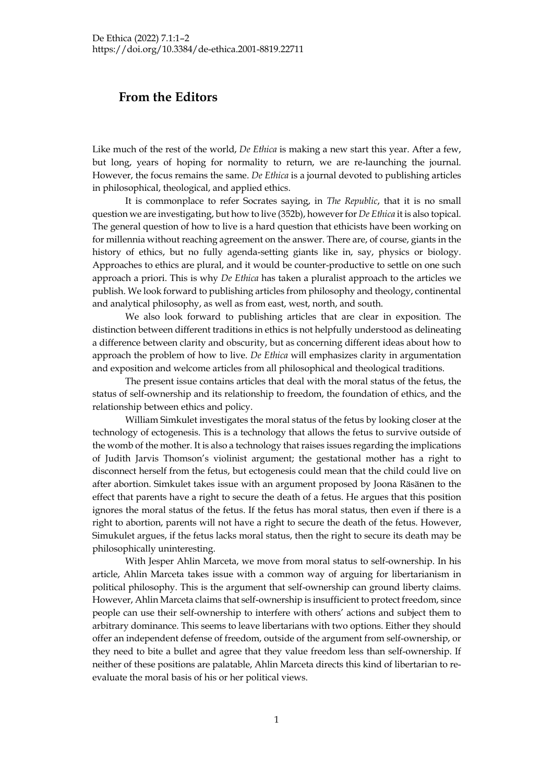## **From the Editors**

Like much of the rest of the world, *De Ethica* is making a new start this year. After a few, but long, years of hoping for normality to return, we are re-launching the journal. However, the focus remains the same. *De Ethica* is a journal devoted to publishing articles in philosophical, theological, and applied ethics.

It is commonplace to refer Socrates saying, in *The Republic*, that it is no small question we are investigating, but how to live (352b), however for *De Ethica* it is also topical. The general question of how to live is a hard question that ethicists have been working on for millennia without reaching agreement on the answer. There are, of course, giants in the history of ethics, but no fully agenda-setting giants like in, say, physics or biology. Approaches to ethics are plural, and it would be counter-productive to settle on one such approach a priori. This is why *De Ethica* has taken a pluralist approach to the articles we publish. We look forward to publishing articles from philosophy and theology, continental and analytical philosophy, as well as from east, west, north, and south.

We also look forward to publishing articles that are clear in exposition. The distinction between different traditions in ethics is not helpfully understood as delineating a difference between clarity and obscurity, but as concerning different ideas about how to approach the problem of how to live. *De Ethica* will emphasizes clarity in argumentation and exposition and welcome articles from all philosophical and theological traditions.

The present issue contains articles that deal with the moral status of the fetus, the status of self-ownership and its relationship to freedom, the foundation of ethics, and the relationship between ethics and policy.

William Simkulet investigates the moral status of the fetus by looking closer at the technology of ectogenesis. This is a technology that allows the fetus to survive outside of the womb of the mother. It is also a technology that raises issues regarding the implications of Judith Jarvis Thomson's violinist argument; the gestational mother has a right to disconnect herself from the fetus, but ectogenesis could mean that the child could live on after abortion. Simkulet takes issue with an argument proposed by Joona Räsänen to the effect that parents have a right to secure the death of a fetus. He argues that this position ignores the moral status of the fetus. If the fetus has moral status, then even if there is a right to abortion, parents will not have a right to secure the death of the fetus. However, Simukulet argues, if the fetus lacks moral status, then the right to secure its death may be philosophically uninteresting.

With Jesper Ahlin Marceta, we move from moral status to self-ownership. In his article, Ahlin Marceta takes issue with a common way of arguing for libertarianism in political philosophy. This is the argument that self-ownership can ground liberty claims. However, Ahlin Marceta claims that self-ownership is insufficient to protect freedom, since people can use their self-ownership to interfere with others' actions and subject them to arbitrary dominance. This seems to leave libertarians with two options. Either they should offer an independent defense of freedom, outside of the argument from self-ownership, or they need to bite a bullet and agree that they value freedom less than self-ownership. If neither of these positions are palatable, Ahlin Marceta directs this kind of libertarian to reevaluate the moral basis of his or her political views.